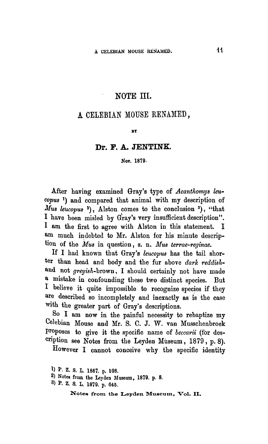## NOTE III.

# A CELEBIAN MOUSE RENAMED.

#### **BY**

### Dr. F. A. JENTINK.

#### Nov. 1879-

After having examined Gray's type of Acanthomys leucopus) and compared that animal with my description of Mus leucopus<sup>2</sup>), Alston comes to the conclusion<sup>3</sup>, "that I have been misled by Gray's very insufficient description". <sup>I</sup> am the first to agree with Alston in this statement. I am much indebted to Mr. Alston for his minute description of the *Mus* in question, s. n. Mus terrae-reginae.

If I had known that Gray's leucopus has the tail shorter than head and body and the fur above dark reddishand not greyish-brown, I should certainly not have made <sup>a</sup> mistake in confounding these two distinct species. But I believe it quite impossible to recognize species if they are described so incompletely and inexactly as is the case with the greater part of Gray's descriptions.

So I am now in the painful necessity to rebaptize my Celebian Mouse and Mr. S. C. J. W. van Musschenbroek Proposes to give it the specific name of beccarii (for description see Notes from the Leyden Museum, 1879, p. 8).

However I cannot conceive why the specific identity

- 2) Notes from the Leyden Museum, 1879. p. <sup>8</sup>
- <sup>3</sup> ) P. Z. S. L. 1879. p. 645.

Notes from the Leyden Museum, Vol. 11.

b P. Z. S. L. 1867. p. 598.